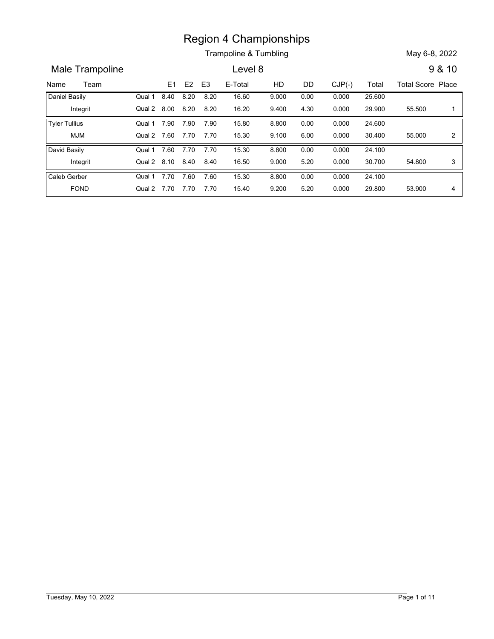Trampoline & Tumbling May 6-8, 2022

Name Team E1 E2 E3 E-Total HD DD CJP(-) Total Total Score Place<br>
Name Team E1 E2 E3 E-Total HD DD CJP(-) Total Total Score Place<br>
Daniel Basily Qual 1 8.40 8.20 8.20 16.60 9.000 0.000 0.000 25.600<br>
Integrit Qual 2 8.00 8.2 Male Trampoline **Level 8** 9 & 10 E3 E-Total HD DD CJP(-) Region 4 Championships<br>
Trampoline & Tumbling<br>
Level 8 9 &<br>
8.40 8.20 8.20 16.60 9.000 0.00 0.000 25.600<br>
8.00 8.20 8.20 16.20 9.400 4.30 0.000 29.900 55.500<br>
8.00 7.90 7.90 15.80 8.800 0.00 0.000 24.600<br>
8.60 7.70 7.70 15 Integrit Qual 2 Daniel Basily **Canada Company Company Company Company Company Company Company Company Company Company Company Company Company Company Company Company Company Company Company Company** Region 4 Championships<br>
Trampoline & Tumbling<br>
Level 8<br>
8.40 8.20 8.20 16.60 9.000 0.00 0.000 25.600<br>
8.00 8.20 8.20 16.20 9.400 4.30 0.000 29.900 55.500 1<br>
8.40 8.20 8.20 16.20 9.400 4.30 0.000 29.900 55.500 1<br>
8.7.90 7.9 25.600 0.000 9.000 55.500 1 0.000 9.400 Qual 1 8.40 8.20 8.20 16.60 9.000 8.20 0.00 8.20 16.20 9.400 4.30 0.000 **Example 8 7 and 10 15.80**<br> **E1 E2 E3 E-Total HD DD CJP(-)** Total Total Score Plans Act a 20 8.20 16.60 9.000 0.00 0.000 25.600<br>
8.40 8.20 8.20 16.60 9.000 0.000 0.000 25.600<br>
8.00 8.20 8.20 16.20 9.400 4.30 0.000 29.900 5 MJM Qual 2 Tyler Tullius **Canada Cover 12 Cover 12 Cover 12 Cover 12 Cover 12 Cover 12 Oct 12 Cover 12 Cover 12 Oct 12 Co Example 8.** Trampoline & Tumbling<br> **Example 8.** Tumbling<br> **Example 8.** Tumbling<br> **Example 8.** Total Publicant COMP(-) Total Total Score Place<br> **Example 8.** 10<br> **Example 8.** 10<br> **Example 8.** 10<br> **Example 8.** 10<br> **Example 8** 24.600 0.000 8.800 55.000 2  $9.100$   $6.00$   $0.000$   $30.400$   $55.000$   $2$   $|$ Qual 1 7.90 7.90 7.90 15.80 8.800 7.90 0.00 7.70 15.30 9.100 6.00 0.000 Region 4 Championships<br>
Trampoline & Tumbling<br>
Level 8<br>
8.40 8.20 8.20 16.60 9.000 0.00 0.000 25.600<br>
8.00 8.20 8.20 16.80 9.000 0.000 0.000 29.900 55.500<br>
8.00 7.90 7.90 7.90 15.80 8.800 0.000 0.000 24.600<br>
7.60 7.70 7.70 Integrit Qual 2 David Basily **Canada Company Company Qual 1 7.60 7.70 7.70** Region 4 Championships<br>
Trampoline & Tumbling<br>
Level 8<br>
8.40 8.20 8.20 16.60 9.000 0.00 0.000 25.600<br>
8.00 8.20 8.20 16.80 9.000 0.000 0.000 25.600<br>
8.00 7.90 7.90 15.80 8.800 0.00 0.000 24.600<br>
7.60 7.70 7.70 15.30 8.800 24.100 0.000 8.800 30.700 0.000 9.000 Qual 1 7.60 7.70 7.70 15.30 8.800 7.70 0.00 8.40 16.50 9.000 5.20 0.000 7.70 7.60 15.30 FOND Qual 2 7.70 7.70 7.70 15.40 9.200 Caleb Gerber **Caleb Caleb** Caleb Carber 11 790 7.60 7.70 15.30 17.80 7.80 7.70 15.30 17.70 7.70 15.40 16.40 16.40 17.70 7.70 15.40 17.70 7.70 15.40 17.70 17.70 15.40 17.70 17.70 15.40 17.70 17.70 15.40 17.70 17.70 15.40 17.70 17.70 15.40 17.70 17.70 15.40 17.70 24.100 0.000 8.800 53.900 4  $9.200$   $5.20$   $0.000$   $29.800$   $53.900$   $4$   $\vert$ Qual 1 7.70 7.60 7.60 15.30 8.800 7.60 15.30 8.800 0.00 0.000 24.100 7.70 15.40 9.200 5.20 0.000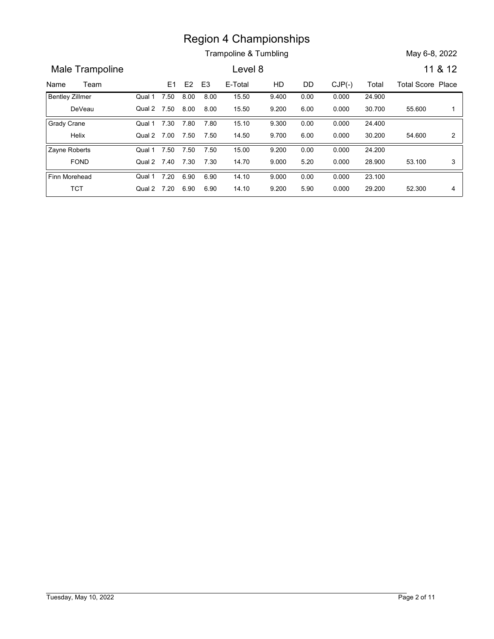Trampoline & Tumbling May 6-8, 2022

Name Team E1 E2 E3 E-Total HD DD CJP(-) Total Total Score Place<br>
Name Team E1 E2 E3 E-Total HD DD CJP(-) Total Total Score Place<br>
Name Team E1 E2 E3 E-Total HD DD CJP(-) Total Total Score Place<br>
Pentley Zillmer Qual 1 7.50 Male Trampoline **Level 8** 11 & 12 E3 E-Total HD DD CJP(-) Region 4 Championships<br>
Trampoline & Tumbling<br>
Level 8 11 &<br>
11 &<br>
17.50 8.00 8.00 15.50 9.400 0.00 0.000 24.900<br>
17.50 8.00 8.00 15.50 9.200 6.00 0.000 30.700 55.600<br>
17.30 7.80 7.80 15.10 9.300 0.00 0.000 30.700 55.600<br> DeVeau Qual 2 Bentley Zillmer **Qual 1 7.50** Region 4 Championships<br>
Trampoline & Tumbling<br>
Level 8<br>
E1 E2 E3 E-Total HD DD CJP(-) Total Total Score Place<br>
7.50 8.00 8.00 15.50 9.400 0.00 0.000 24.900<br>
7.50 7.60 7.60 7.50 15.10 9.300 0.00 0.000 30.700 55.600 1<br>
7.30 24.900 0.000 9.400 55.600 1 0.000 9.200 Qual 1 7.50 8.00 8.00 15.50 9.400 8.00 15.50 9.400 0.00 0.000 24.900 8.00 15.50 9.200 6.00 0.000 **Example 8 7.50 15.50 15.50 15.50 15.60** 16.00 16.00 16.50 17.50 17.50 17.50 17.50 17.50 17.50 17.50 17.50 17.50 17.50 17.50 17.50 17.50 17.50 17.50 17.50 17.50 17.50 17.50 17.50 17.50 17.50 17.50 17.50 17.50 17.50 17.50 1 Helix Cual 2 7.00 7.50 7.50 14.50 9.700 Grady Crane **Canadia Crane Cover 12 Crane Crane Crane Crane Crane 7 and 7 and 7 and 7 and 7 and 7 and 7 and 7 and 7 and 7 and 7 and 7 and 7 and 7 and 7 and 7 and 7 and 7 and 7 and 7 and 7 and 7 and 7 and 7 and 7 and 7 and Example 8.** Trampoline & Tumbling<br> **Example 8.** Tumbling<br> **Example 8.** Tumbling<br> **Example 8.** Tumbling<br> **Example 8.** Tumbling<br> **Example 8.** Tumbling<br> **Example 8.** Tumbling<br> **Example 8.** Tumbling<br> **Example 8.** Tumbling<br> **E** 24.400 0.000 9.300 54.600 2 9.700 6.00 0.000 30.200 54.600 2 | Qual 1 7.30 7.80 7.80 15.10 9.300 7.80 0.00 7.50 14.50 9.700 6.00 0.000 Region 4 Championships<br>
Trampoline & Tumbling<br>
Level 8<br>
11 &<br>
11 &<br>
17.50 8.00 8.00 15.50 9.400 0.00 0.000 24.900<br>
17.50 7.50 7.80 15.10 9.300 0.00 0.000 30.700 55.600<br>
17.90 7.50 7.50 15.10 9.300 0.00 0.000 30.200 54.600<br> FOND Qual 2 7.40 7.30 7.30 14.70 9.000 Zayne Roberts **Canada Company** Cual 1 7.50 7.50 7.50 **Example 6.** Tumbling<br> **EXECUTE:** Transposite 11 & 12<br> **EXECUTE:** EXECUTE: Total Transposite 12<br> **EXECUTE:** EXECUTE: Total Transposite 12<br> **EXECUTE:** Total Score Place<br> **EXECUTE:** Total Score Place<br> **F.50** 8.00 8.00 15.50 24.200 0.000 9.200 28.900 0.000 9.000 Qual 1 7.50 7.50 7.50 15.00 9.200 7.50 0.00 7.30 14.70 9.000 5.20 0.000 **Example 8.** Trampoline 8. Tumbling<br>
Level 8<br>
11.8.<br>
11.8.<br>
11.20 10.000 11.500 11.500 11.500 11.500 11.500 11.500 11.500 11.500 11.500 11.500 11.500 11.500 11.500 11.500 11.500 11.500 11.500 11.500 11.500 11.500 11.500 11 TCT Qual 2 Finn Morehead **Qual 1 7.20 6.90 6.90 14.10 Example 3 7.50 14.00**<br> **Example 3 7.50 6.00 6.00**<br> **Example 3 6.90**<br> **Example 3 6.90**<br> **Example 3 6.90**<br> **Example 3 6.90**<br> **Example 3 6.90**<br> **Example 3 6.90**<br> **Example 3 6.90**<br> **Example 3 6.90**<br> **Example 3 6.90**<br> **Example** 23.100 0.000 9.000 52.300 4 0.000 9.200 Qual 1 7.20 6.90 6.90 14.10 9.000  $6.90$   $14.10$   $9.000$   $0.00$   $0.000$   $23.100$ 6.90 14.10 9.200 5.90 0.000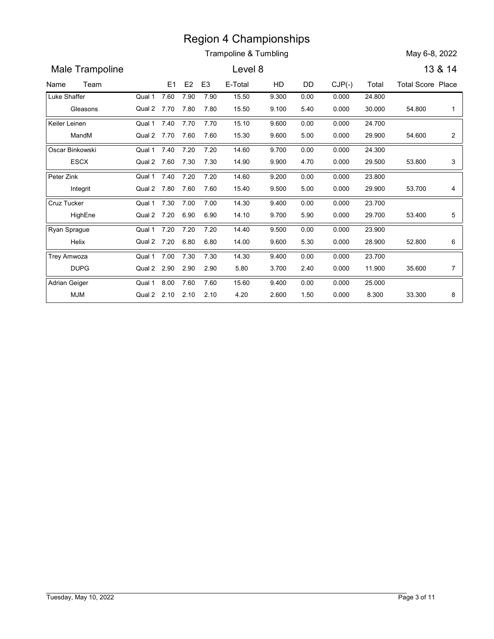|                          |                       |      |                |                | <b>Region 4 Championships</b> |                |              |                |                  |                          |                |
|--------------------------|-----------------------|------|----------------|----------------|-------------------------------|----------------|--------------|----------------|------------------|--------------------------|----------------|
|                          |                       |      |                |                | Trampoline & Tumbling         |                |              |                |                  | May 6-8, 2022            |                |
|                          |                       |      |                |                |                               |                |              |                |                  |                          |                |
| Male Trampoline          |                       |      |                |                | Level 8                       |                |              |                |                  |                          | 13 & 14        |
| Team<br>Name             |                       | E1   | E <sub>2</sub> | E <sub>3</sub> | E-Total                       | HD             | DD           | $CJP(-)$       | Total            | <b>Total Score Place</b> |                |
| Luke Shaffer<br>Gleasons | Qual 1<br>Qual 2 7.70 | 7.60 | 7.90<br>7.80   | 7.90<br>7.80   | 15.50<br>15.50                | 9.300<br>9.100 | 0.00<br>5.40 | 0.000<br>0.000 | 24.800<br>30.000 | 54.800                   | -1             |
|                          | Qual 1                | 7.40 | 7.70           | 7.70           |                               |                |              |                |                  |                          |                |
| Keiler Leinen<br>MandM   | Qual 2 7.70           |      | 7.60           | 7.60           | 15.10<br>15.30                | 9.600<br>9.600 | 0.00<br>5.00 | 0.000<br>0.000 | 24.700<br>29.900 | 54.600                   | $\overline{a}$ |
| Oscar Binkowski          | Qual 1                | 7.40 | 7.20           | 7.20           | 14.60                         | 9.700          | 0.00         | 0.000          | 24.300           |                          |                |
| <b>ESCX</b>              | Qual 2 7.60           |      | 7.30           | 7.30           | 14.90                         | 9.900          | 4.70         | 0.000          | 29.500           | 53.800                   | 3              |
| Peter Zink               | Qual 1                | 7.40 | 7.20           | 7.20           | 14.60                         | 9.200          | 0.00         | 0.000          | 23.800           |                          |                |
| Integrit                 | Qual 2 7.80           |      | 7.60           | 7.60           | 15.40                         | 9.500          | 5.00         | 0.000          | 29.900           | 53.700                   | 4              |
| Cruz Tucker              | Qual 1                | 7.30 | 7.00           | 7.00           | 14.30                         | 9.400          | 0.00         | 0.000          | 23.700           |                          |                |
| HighEne                  | Qual 2 7.20           |      | 6.90           | 6.90           | 14.10                         | 9.700          | 5.90         | 0.000          | 29.700           | 53.400                   | 5              |
| Ryan Sprague             | Qual 1                | 7.20 | 7.20           | 7.20           | 14.40                         | 9.500          | 0.00         | 0.000          | 23.900           |                          |                |
| Helix                    | Qual 2 7.20 6.80 6.80 |      |                |                | 14.00                         | 9.600          | 5.30         | 0.000          | 28.900           | 52.800                   | 6              |
| Trey Amwoza              | Qual 1 7.00 7.30      |      |                | 7.30           | 14.30                         | 9.400          | 0.00         | 0.000          | 23.700           |                          |                |
| <b>DUPG</b>              | Qual 2 2.90 2.90 2.90 |      |                |                | 5.80                          | 3.700          | 2.40         | 0.000          | 11.900           | 35.600                   | $\overline{7}$ |
| Adrian Geiger            | Qual 1 8.00 7.60 7.60 |      |                |                | 15.60                         | 9.400          | 0.00         | 0.000          | 25.000           |                          |                |
| <b>MJM</b>               | Qual 2 2.10 2.10 2.10 |      |                |                | 4.20                          | 2.600          | 1.50         | 0.000          | 8.300            | 33.300                   | 8              |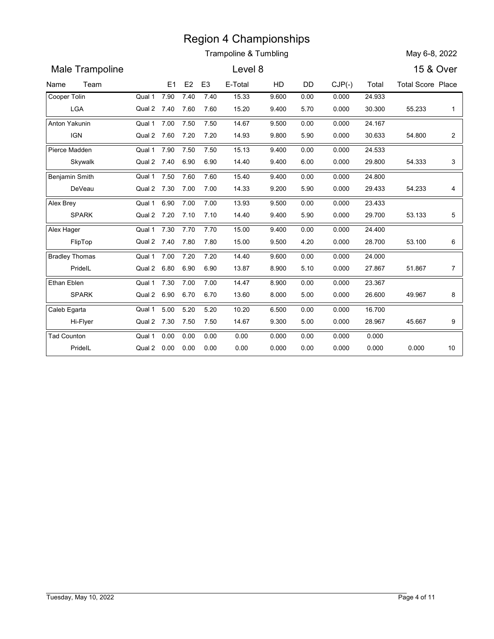|                              |                       |            |            |                        | <b>Region 4 Championships</b> |             |            |                   |                 |                          |                |
|------------------------------|-----------------------|------------|------------|------------------------|-------------------------------|-------------|------------|-------------------|-----------------|--------------------------|----------------|
|                              |                       |            |            |                        | Trampoline & Tumbling         |             |            |                   |                 | May 6-8, 2022            |                |
| Male Trampoline              |                       |            |            |                        | Level 8                       |             |            |                   |                 | 15 & Over                |                |
|                              |                       |            |            |                        |                               |             |            |                   |                 |                          |                |
| Team<br>Name<br>Cooper Tolin | Qual 1                | E1<br>7.90 | E2<br>7.40 | E <sub>3</sub><br>7.40 | E-Total<br>15.33              | HD<br>9.600 | DD<br>0.00 | $CJP(-)$<br>0.000 | Total<br>24.933 | <b>Total Score Place</b> |                |
| LGA                          | Qual 2 7.40           |            | 7.60       | 7.60                   | 15.20                         | 9.400       | 5.70       | 0.000             | 30.300          | 55.233                   | $\mathbf{1}$   |
| Anton Yakunin                | Qual 1                | 7.00       | 7.50       | 7.50                   | 14.67                         | 9.500       | 0.00       | 0.000             | 24.167          |                          |                |
| <b>IGN</b>                   | Qual 2 7.60           |            | 7.20       | 7.20                   | 14.93                         | 9.800       | 5.90       | 0.000             | 30.633          | 54.800                   | $\overline{c}$ |
| Pierce Madden                | Qual 1                | 7.90       | 7.50       | 7.50                   | 15.13                         | 9.400       | 0.00       | 0.000             | 24.533          |                          |                |
| Skywalk                      | Qual 2 7.40           |            | 6.90       | 6.90                   | 14.40                         | 9.400       | 6.00       | 0.000             | 29.800          | 54.333                   | 3              |
| Benjamin Smith               | Qual 1                | 7.50       | 7.60       | 7.60                   | 15.40                         | 9.400       | 0.00       | 0.000             | 24.800          |                          |                |
| DeVeau                       | Qual 2 7.30           |            | 7.00       | 7.00                   | 14.33                         | 9.200       | 5.90       | 0.000             | 29.433          | 54.233                   | 4              |
| Alex Brey                    | Qual 1                | 6.90       | 7.00       | 7.00                   | 13.93                         | 9.500       | 0.00       | 0.000             | 23.433          |                          |                |
| <b>SPARK</b>                 | Qual 2 7.20           |            | 7.10       | 7.10                   | 14.40                         | 9.400       | 5.90       | 0.000             | 29.700          | 53.133                   | 5              |
| Alex Hager                   | Qual 1                | 7.30       | 7.70       | 7.70                   | 15.00                         | 9.400       | 0.00       | 0.000             | 24.400          |                          |                |
| FlipTop                      | Qual 2 7.40 7.80 7.80 |            |            |                        | 15.00                         | 9.500       | 4.20       | 0.000             | 28.700          | 53.100                   | 6              |
| <b>Bradley Thomas</b>        | Qual 1 7.00 7.20      |            |            | 7.20                   | 14.40                         | 9.600       | 0.00       | 0.000             | 24.000          |                          |                |
| PridelL                      | Qual 2 6.80 6.90      |            |            | 6.90                   | 13.87                         | 8.900       | 5.10       | 0.000             | 27.867          | 51.867                   | $\overline{7}$ |
| Ethan Eblen                  | Qual 1 7.30 7.00      |            |            | 7.00                   | 14.47                         | 8.900       | 0.00       | 0.000             | 23.367          |                          |                |
| SPARK                        | Qual 2 6.90 6.70 6.70 |            |            |                        | 13.60                         | 8.000       | 5.00       | 0.000             | 26.600          | 49.967                   | 8              |
| Caleb Egarta                 | Qual 1 5.00 5.20      |            |            | 5.20                   | 10.20                         | 6.500       | 0.00       | 0.000             | 16.700          |                          |                |
| Hi-Flyer                     | Qual 2 7.30 7.50 7.50 |            |            |                        | 14.67                         | 9.300       | 5.00       | 0.000             | 28.967          | 45.667                   | 9              |
| Tad Counton                  | Qual 1 0.00 0.00      |            |            | 0.00                   | 0.00                          | 0.000       | 0.00       | 0.000             | 0.000           |                          |                |
| PridelL                      | Qual 2  0.00  0.00    |            |            | 0.00                   | 0.00                          | 0.000       | 0.00       | 0.000             | 0.000           | 0.000                    | 10             |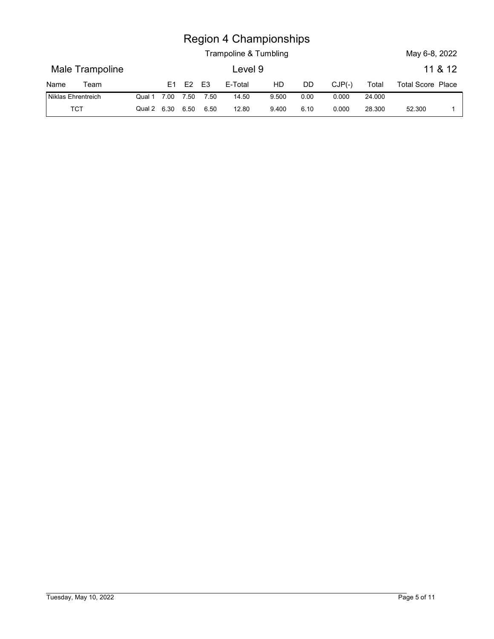|                    |             |      |                | <b>Region 4 Championships</b> |       |      |          |        |                          |         |
|--------------------|-------------|------|----------------|-------------------------------|-------|------|----------|--------|--------------------------|---------|
|                    |             |      |                | Trampoline & Tumbling         |       |      |          |        | May 6-8, 2022            |         |
| Male Trampoline    |             |      |                | Level 9                       |       |      |          |        |                          | 11 & 12 |
| Team<br>Name       | E1          | E2   | E <sub>3</sub> | E-Total                       | HD    | DD   | $CJP(-)$ | Total  | <b>Total Score Place</b> |         |
| Niklas Ehrentreich | Qual 1 7.00 | 7.50 | 7.50           | 14.50                         | 9.500 | 0.00 | 0.000    | 24.000 |                          |         |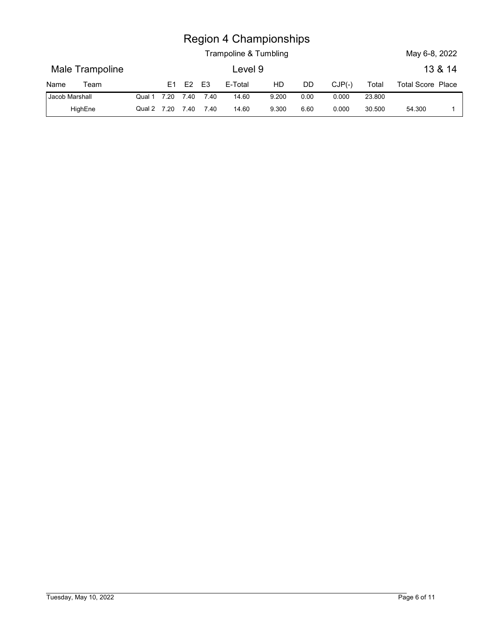|                        |                 |             |                |      |                | <b>Region 4 Championships</b><br>Trampoline & Tumbling |       |      |          |        | May 6-8, 2022            |         |
|------------------------|-----------------|-------------|----------------|------|----------------|--------------------------------------------------------|-------|------|----------|--------|--------------------------|---------|
|                        | Male Trampoline |             |                |      |                | Level 9                                                |       |      |          |        |                          | 13 & 14 |
|                        | Team            |             | E <sub>1</sub> | E2   | E <sub>3</sub> | E-Total                                                | HD    | DD   | $CJP(-)$ | Total  | <b>Total Score Place</b> |         |
| Name<br>Jacob Marshall |                 | Qual 1 7.20 |                | 7.40 | 7.40           | 14.60                                                  | 9.200 | 0.00 | 0.000    | 23.800 |                          |         |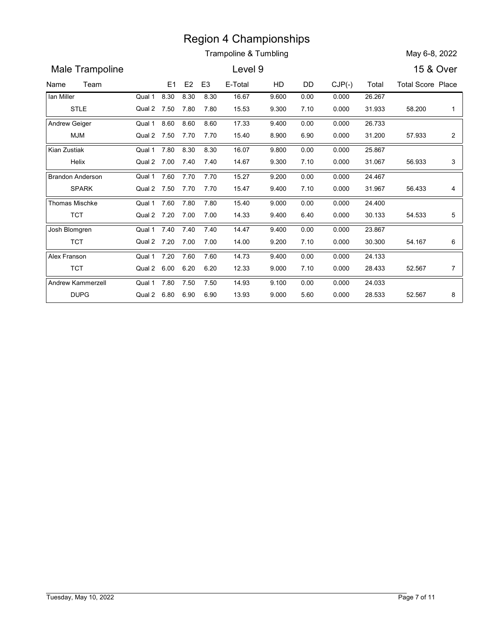Trampoline & Tumbling May 6-8, 2022

Name Team E1 E2 E3 E-Total HD DD CJP(-) Total Total Score Place<br>
Name Team E1 E2 E3 E-Total HD DD CJP(-) Total Total Score Place<br>
Name Team E1 E2 E3 E-Total HD DD CJP(-) Total Total Score Place<br>
Ian Miller<br>
STLE Qual 2 7.5 Male Trampoline **Level 9** 15 & Over E3 E-Total HD DD CJP(-) Region 4 Championships<br>
Trampoline & Tumbling<br>
Level 9<br>
8.30 8.30 8.30 16.67 9.600 0.00 0.000 26.267<br>
8.30 8.30 7.80 7.80 16.67 9.600 0.00 0.000 26.267<br>
8.60 8.60 8.60 17.33 9.400 0.00 0.000 31.933 58.200<br>
8.60 8.60 8.60 1 STLE Qual 2 Ian Miller **Canadian Cover 12 Cover 12 A** Cover 12 A 20 Region 4 Championships<br>
Trampoline & Tumbling<br>
Level 9<br>
15 & Over<br>
15 & Over<br>
15 & Over<br>
15 & Over<br>
15 & Over<br>
15 & Over<br>
16.50 17.50 17.80 18.30 16.67 18.00 0.00 0.00 0.000 26.267<br>
18.60 8.60 8.60 17.33 18.400 0.00 0.000 26.267 0.000 9.600 58.200 1 0.000 9.300 Qual 1 8.30 8.30 8.30 16.67 9.600 8.30 0.00 7.80 15.53 9.300 7.10 0.000 **Example 8. Transpoint 8. Transpoint 8. Transpoint 8. Transpoint 8. Transpoint 8. Transpoint 8. Solenois 19.60**<br> **E1 E2 E3 E-Total HD DD CJP(-)** Total Total Score Plans 8.30 8.30 8.30 16.67 9.600 0.00 0.000 26.267<br> **E1 E2** MJM Qual 2 Andrew Geiger **Canada Communication** Qual 1 8.60 **Example 8.** Trampoline & Tumbling<br> **Example 8.** Tumbling<br> **Example 8.** Tumbling<br> **Example 8.** Tumbling<br> **Example 8.** Tumbling<br> **Example 8.** Tumbling<br> **Example 8.** Tumbling<br> **Example 8.** Tumbling<br> **Example 8.** Tumbling<br> **E** 26.733 0.000 9.400 31.200 0.000 8.900 Qual 1 8.60 8.60 8.60 17.33 9.400 8.60 17.33 9.400 0.00 0.000 26.733 7.70 15.40 8.900 6.90 0.000 Region 4 Championships<br>
Trampoline & Tumbling<br>
Level 9<br>
E1 E2 E3 E-Total HD DD CJP(-) Total Total Score Pl:<br>
8.30 8.30 8.30 16.67 9.600 0.00 0.000 26.287<br>
7.50 7.80 7.80 17.33 9.400 0.00 0.000 31.933 58.200<br>
8.60 8.60 8.60 Helix Cual 2 7.00 7.40 7.40 14.67 9.300 Kian Zustiak **Region 4 Championships**<br>
Trampoline & Tumbling<br>
Level 9<br> **E1 E2 E3 E-Total HD DD CJP(-)** Total Total Score Place<br> **E30 8.30 8.30 16.67 9.600 0.00 0.000 26.267**<br> **7.50 7.80 7.80 15.53 9.300 7.10 0.000 26.267**<br> **7.60 8.60 8** 25.867 0.000 9.800 56.933 3 0.000 9.300 Qual 1 7.80 8.30 8.30 16.07 9.800 8.30 0.00 7.40 14.67 9.300 7.10 0.000 7.60 7.70 15.27 SPARK Qual 2 7.50 7.70 7.70 15.47 9.400 Brandon Anderson Qual 1 7.60 7.70 7.70 15.27 **Example 3 7.50 7.60**<br> **Example 3 7.50 7.60**<br> **Example 3 7.50 7.60**<br> **Example 3 8.430 16.67**<br> **Example 3 8.430 16.67**<br> **Example 3 8.440 16.67**<br> **Example 3 8.60**<br> **Example 3 8.60**<br> **Example 3 8.60**<br> **Example 3 8.60**<br> **Examp** 24.467 0.000 9.200 31.967 0.000 9.400 Qual 1 7.60 7.70 7.70 15.27 9.200 7.70 0.00 7.70 15.47 9.400 7.10 0.000 **Example 8. Tumbling**<br> **Example 8. Tumbling**<br> **Example 8. Tumbling**<br> **Example 8. Tumbling**<br> **Example 8. Tumbling**<br> **Example 8. Tumbling**<br> **Example 8. Tumbling**<br> **Example 8. Tumbling**<br> **Example 8. Tumbling**<br> **Example 8. Tum** TCT Qual 2 Thomas Mischke Region 4 Championships<br>
Trampoline & Tumbling<br>
Level 9<br>
15 & Over<br>
E1 E2 E3 E-Total HD DD CJP(-) Total Total Score Place<br>
8.30 8.30 8.30 6.80 6.67 9.600 0.00 0.000 28.287<br>
7.50 7.80 7.80 15.53 9.300 7.10 0.000 31.303 68.20 24.400 0.000 9.000 54.533 5  $9.400$   $6.40$   $0.000$   $30.133$   $54.533$   $5$ Qual 1 7.60 7.80 7.80 15.40 9.000 7.80 15.40 9.000 0.00 0.000 24.400 7.00 14.33 9.400 6.40 0.000 7.40 7.40 14.47 TCT Qual 2 Josh Blomgren **Region 4 Championships**<br> **Example 8 Tumbling**<br> **Evel 9**<br> **EVEL 9**<br> **EVEL 9**<br> **EVEL 9**<br> **EVEL 9**<br> **EVEL 9**<br> **EVEL 9**<br> **EVEL 9**<br> **EVEL 9**<br> **EVEL 9**<br> **EVEL 9**<br> **EVEL 9**<br> **EVEL 9**<br> **EVEL 9**<br> **EVEL 9**<br> **EVEL 9**<br> **EVEL 9**<br> **EVE** 23.867 0.000 9.400 9.200 7.10 0.000 30.300 54.167 6 | Qual 1 7.40 7.40 7.40 14.47 9.400 7.40 14.47 9.400 0.00 0.000 23.867 7.00 14.00 9.200 7.10 0.000 7.20 7.60 14.73 TCT Qual 2 Alex Franson **Canada Contract Contract Contract Contract Contract Contract Contract Contract Contract Contract Contract Contract Contract Contract Contract Contract Contract Contract Contract Contract Contract Contract Con EVELO SEXEL AND DO CUP(-1)** Total Total Score Place<br> **EVELO 15 & OVer**<br> **EVELO 15 & OVer**<br> **EXEL AND 12.56** 12.560 10.00 10.00 26.267<br> **EXEL AND 14.567** 9.600 10.00 10.000 26.733 7.50 7.70 15.40 8.900 6.90 10.000 26.733 24.133 0.000 9.400 28.433 0.000 9.000 Qual 1 7.20 7.60 7.60 14.73 9.400 7.60 14.73 9.400 0.00 0.000 24.133 6.20 12.33 9.000 7.10 0.000 E1 E2 E3 E-Total HD DD CJP(-) Total Total Score Pi<br>
8.30 8.30 8.30 16.67 9.600 0.00 0.000 26.267<br>
7.50 7.80 7.80 16.53 9.300 7.10 0.000 31.933 58.200<br>
8.60 8.60 8.60 17.33 9.400 0.00 0.000 26.733<br>
7.50 7.70 7.70 15.40 8.9 DUPG Qual 2 Andrew Kammerzell **Canada Canada Andrew Kammerzell** Qual 1 7.80  $\frac{6.80}{6.80}$  6.80 6.80 16.82 6.90 0.00 0.000 2.8.75<br>  $\frac{6.80}{6.80}$  6.80 6.80 16.7 9.800 0.000 0.000 2.8.753 5.6200 1<br>  $\frac{6.80}{6.80}$  6.80 6.80 17.33 9.400 0.00 0.000 26.733 2<br>  $\frac{7.50}{7.70}$  7.70 15.40 8.90 6.90 0. 24.033 0.000 9.100 52.567 8 0.000 9.000 Qual 1 7.80 7.50 7.50 14.93 9.100 7.50 14.93 9.100 0.00 0.000 24.033 6.90 13.93 9.000 5.60 0.000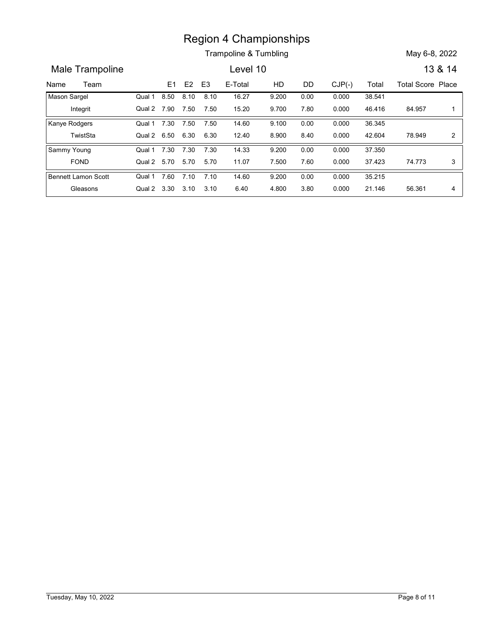Trampoline & Tumbling May 6-8, 2022

Name Team E1 E2 E3 E-Total HD DD CJP(-) Total Total Score Place<br>
Name Team E1 E2 E3 E-Total HD DD CJP(-) Total Total Score Place<br>
Nason Sargel Qual 1 8.50 8.10 8.10 16.27 9.200 0.00 0.000 38.541<br>
Integrit Qual 2 7.90 7.50 Male Trampoline **Lexel 10** 13 & 14 E3 E-Total HD DD CJP(-) Region 4 Championships<br>
Trampoline & Tumbling<br>
Level 10<br>
13 &<br>
E1 E2 E3 E-Total HD DD CJP(-) Total Total Score Pla<br>
8.50 8.10 8.10 16.27 9.200 0.00 0.000 38.541<br>
7.90 7.50 7.50 14.60 9.700 7.80 0.000 46.416 84.957<br>
7.30 7. Integrit Qual 2 7.90 7.50 7.50 15.20 9.700 Mason Sargel Region 4 Championships<br>
Trampoline & Tumbling<br>
Level 10 13 & 14<br>
E1 E2 E3 E-Total HD DD CJP(-) Total Total Score Place<br>
8.50 8.10 8.10 16.27 9.200 0.00 0.000 38.541<br>
7.90 7.50 7.50 15.20 9.700 7.80 0.000 46.416 84.957 1<br>
7 38.541 0.000 9.200 84.957 1 9.700 7.80 0.000 46.416 84.957 1 | Qual 1 8.50 8.10 8.10 16.27 9.200  $8.10$   $16.27$   $9.200$   $0.00$   $0.000$   $38.541$ 7.50 15.20 9.700 7.80 0.000 **Example 8 7.30**<br> **E1 E2 E3 E-Total HD DD CJP(-)** Total Total Score Plannel Section 113 &<br> **E1 E2 E3 E-Total HD DD CJP(-)** Total Total Score Plannel Section 16.27 9.200 0.00 0.000 38.541<br> **E1 E2 E3 E-Total HD DD CJP(-)** To TwistSta Qual 2 Kanye Rodgers **Canada Company** Cual 1 7.30 7.50 7.50 Region 4 Championships<br>
Trampoline & Tumbling<br>
Level 10<br>
E1 E2 E3 E-Total HD DD CJP(-) Total Total Score Place<br>
8.50 8.10 8.10 16.27 9.200 0.00 0.000 38.541<br>
7.90 7.50 7.50 15.20 9.700 7.80 0.000 46.416 84.957 1<br>
7.30 7.50 36.345 0.000 9.100 78.949 2 0.000 8.900 Qual 1 7.30 7.50 7.50 14.60 9.100 7.50 14.60 9.100 0.00 0.000 36.345 6.30 12.40 8.900 8.40 0.000 Region 4 Championships<br>
Trampoline & Tumbling<br>
E1 E2 E3 E-Total HD DD CJP(-) Total Total Score Pl:<br>
8.50 8.10 8.10 16.27 9.200 0.00 0.000 38.541<br>
7.90 7.50 7.50 15.20 9.700 7.80 0.000 46.416 84.957<br>
7.30 7.50 7.50 14.60 9. FOND Qual 2 5.70 5.70 5.70 11.07 7.500 Sammy Young Region 4 Championships<br>
Trampoline & Tumbling<br>
Level 10<br>
E1 E2 E3 E-Total HD DD CJP(-) Total Total Score Place<br>
8.50 8.10 8.10 16.27 9.200 0.00 0.000 38.541<br>
7.90 7.50 7.50 14.60 9.100 0.00 0.000 46.416 84.957 1<br>
7.30 7.50 37.350 0.000 9.200 74.773 3 7.500 7.60 0.000 37.423 74.773 3 | Qual 1 7.30 7.30 7.30 14.33 9.200 7.30 0.00 5.70 11.07 7.500 7.60 0.000 **Example 8 71**<br> **Example 8 71**<br> **Example 8 71**<br> **Example 8 71**<br> **Example 8 71**<br> **Example 8 71**<br> **Example 8 71**<br> **Example 8 71**<br> **Example 8 71**<br> **Example 8 71**<br> **Example 8 71**<br> **Example 8 71**<br> **Example 8 71**<br> **Example 8 71** Gleasons Qual 2 Bennett Lamon Scott **Qual 1 7.60** 8.50 6.30 6.30 12.40 6.300 6.30 12.40 6.320 7.50 7.50 7.10 7.10 7.40 13.80 7.10 7.10 7.40 13.80 7.10 7.10 7.10 6.40 4.800 3.80 0.000 38.541 7.30 7.50 7.50 1.460 9.100 0.000 0.000 38.541 7.30 7.50 7.50 1.460 9.100 0.000 0.0 35.215 0.000 9.200 56.361 4 0.000 4.800 Qual 1 7.60 7.10 7.10 14.60 9.200 7.10 14.60 9.200 0.00 0.000 35.215 3.10 6.40 4.800 3.80 0.000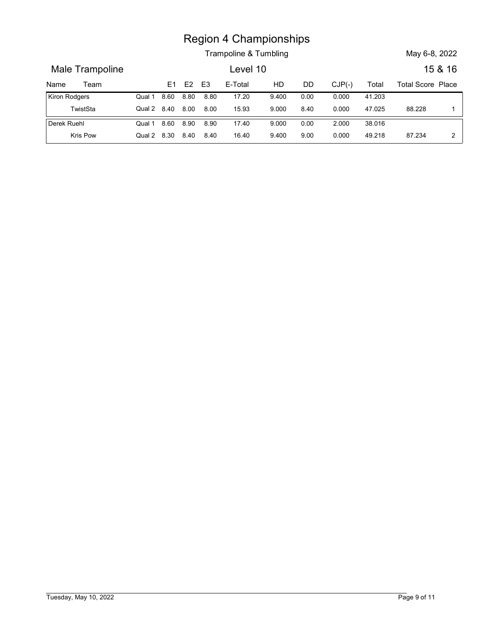|                 |                |      |                | <b>Region 4 Championships</b> |       |           |          |        |                          |              |
|-----------------|----------------|------|----------------|-------------------------------|-------|-----------|----------|--------|--------------------------|--------------|
|                 |                |      |                | Trampoline & Tumbling         |       |           |          |        | May 6-8, 2022            |              |
| Male Trampoline |                |      |                | Level 10                      |       |           |          |        |                          | 15 & 16      |
| Team<br>Name    | E1             | E2   | E <sub>3</sub> | E-Total                       | HD    | <b>DD</b> | $CJP(-)$ | Total  | <b>Total Score Place</b> |              |
| Kiron Rodgers   | 8.60<br>Qual 1 | 8.80 | 8.80           | 17.20                         | 9.400 | 0.00      | 0.000    | 41.203 |                          |              |
| TwistSta        | Qual 2 8.40    | 8.00 | 8.00           | 15.93                         | 9.000 | 8.40      | 0.000    | 47.025 | 88.228                   | $\mathbf{1}$ |
| Derek Ruehl     | Qual 1 8.60    | 8.90 | 8.90           | 17.40                         | 9.000 | 0.00      | 2.000    | 38.016 |                          |              |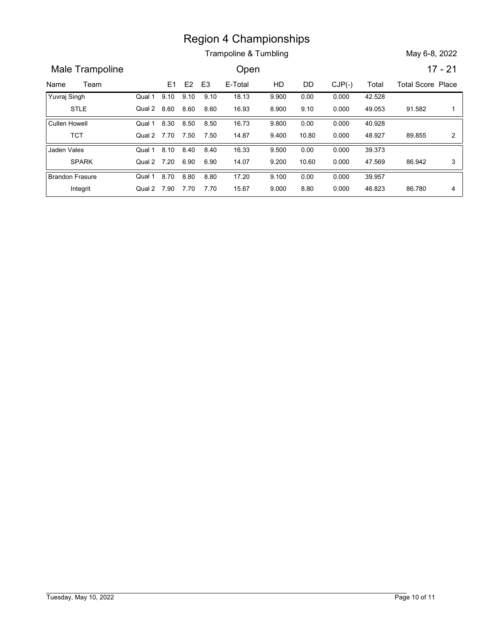Trampoline & Tumbling May 6-8, 2022

Name Team E1 E2 E3 E-Total HD DD CJP(-) Total Total Score Place<br>
Name Team E1 E2 E3 E-Total HD DD CJP(-) Total Total Score Place<br>
Yuvraj Singh Qual 1 9.10 9.10 9.10 18.13 9.900 0.00 0.000 42.528<br>
STLE Qual 2 8.60 8.60 8.60 Male Trampoline **Calculation** Open 17 - 21 E3 E-Total HD DD CJP(-) Region 4 Championships<br>
Trampoline & Tumbling<br>
Open 17 -<br>
9.10 9.10 9.10 18.13 9.900 0.00 0.00 42.528<br>
9.60 8.60 8.60 16.93 8.900 9.10 0.000 49.053 91.582<br>
9.30 8.50 8.50 16.73 9.800 0.00 0.000 49.053 91.582<br>
9.770 7.50 7. STLE Qual 2 Yuvraj Singh Region 4 Championships<br>
Trampoline & Tumbling<br>
Open<br>
17 - 21<br>
9.10 9.10 9.10 18.13 9.900 0.00 0.00 42.528<br>
8.60 8.60 8.60 16.93 8.900 9.10 0.000 49.053 91.582 1<br>
8.30 8.50 8.50 16.73 9.800 0.00 0.000 40.928<br>
8.70 7.50 7.50 42.528 0.000 9.900 91.582 1 0.000 8.900 Qual 1 9.10 9.10 9.10 18.13 9.900  $9.10$   $18.13$   $9.900$   $0.00$   $0.000$   $42.528$ 8.60 16.93 8.900 9.10 0.000 Region 4 Championships<br>
Trampoline & Tumbling<br>
Open<br>
8.30 8.50 8.50 16.73 9.800 0.00 0.000 42.528<br>
8.30 8.50 8.50 16.73 9.800 0.00 0.000 40.928<br>
8.70 7.50 7.50 14.87 9.400 10.80 0.000 40.928<br>
8.70 7.50 7.50 14.87 9.400 10. TCT Qual 2 Cullen Howell **7.70 12.50 12.80 12.80 12.80 12.80 12.87 12.80 12.80 12.80 12.80 12.80 12.80 12.80 12.80 12.80 12.80 12.80 12.80 12.80 12.80 12.80 12.80 12.80 12.80 12.80 12.80 12.80 12.80 12.80 12.80 12.80 12.80 12.80 12.80 12.80 12.80** 40.928 0.000 9.800 89.855 2 9.400 10.80 0.000 48.927 89.855 2 | Qual 1 8.30 8.50 8.50 16.73 9.800 8.50 0.00 7.50 14.87 9.400 10.80 0.000 Region 4 Championships<br>
Trampoline & Tumbling<br>
(Dpen<br>
E1 E2 E3 E-Total HD DD CJP(-) Total Total Score Pl:<br>
9.10 9.10 9.10 18.13 9.900 0.00 0.000 42.528<br>
8.60 8.60 8.60 16.93 8.900 9.10 0.000 49.053 91.582<br>
8.30 8.50 8.50 1 SPARK Qual 2 Jaden Vales **Canada Access Cover 12 Access Cover 12 Access 12 Access 12 Access 12 Access 12 Access 12 Access 12 Access 12 Access 12 Access 12 Access 12 Access 12 Access 12 Access 12 Access 12 Access 12 Access 12 Access 12 Example 6.** Transpoint of Champions and Champions and Champions of Champions and Champions and Champions and Champions and Champions and Champions and Champions and Champions and Champions and Champions and Champions and 39.373 0.000 9.500 47.569 0.000 9.200 Qual 1 8.10 8.40 8.40 16.33 9.500 8.40 16.33 9.500 0.00 0.000 39.373 6.90 14.07 9.200 10.60 0.000 8.80 17.20 17.20 17.20 17.20 17.20 17.30 17.20 17.20 17.20 17.20 17.20 17.20 17.20 17.30 17.30 17.20 17.20 17.30 17.30 17.30 17.30 17.30 17.30 17.30 17.30 17.30 17.30 17.30 17.30 17.30 17.30 17.30 17.30 17.30 17.30 17.30 1 Integrit Qual 2 Brandon Frasure 7.90 7.70 15.67 8.80 86.780 4 39.957 0.000 9.100 86.780 4 0.000 9.000 Qual 1 8.70 8.80 8.80 17.20 9.100 8.80 0.00 7.70 15.67 9.000 8.80 0.000